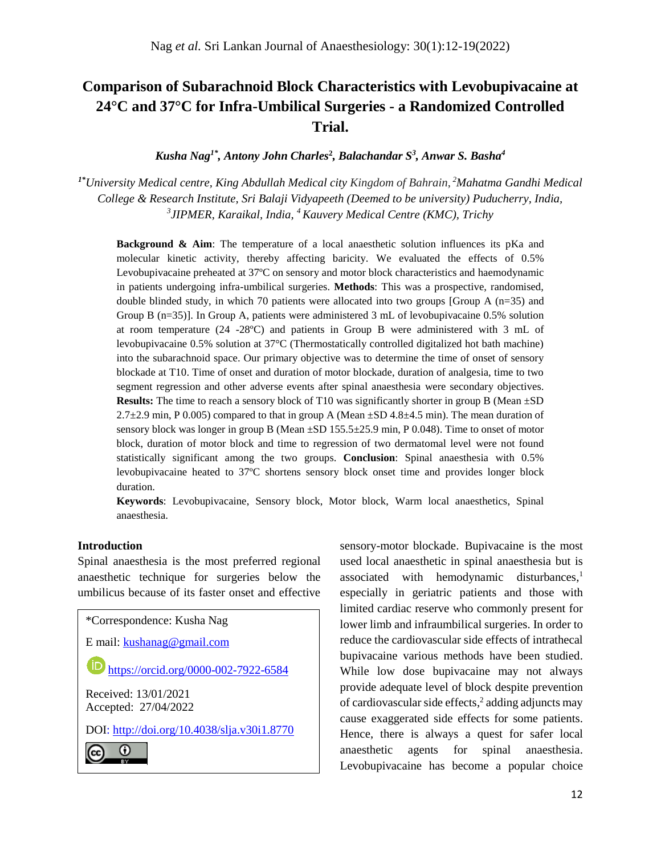# **Comparison of Subarachnoid Block Characteristics with Levobupivacaine at 24°C and 37°C for Infra-Umbilical Surgeries - a Randomized Controlled Trial.**

*Kusha Nag1\*, Antony John Charles***<sup>2</sup>** *, Balachandar S<sup>3</sup> , Anwar S. Basha<sup>4</sup>*

*1\*University Medical centre, King Abdullah Medical city Kingdom of Bahrain*, *<sup>2</sup>Mahatma Gandhi Medical College & Research Institute, Sri Balaji Vidyapeeth (Deemed to be university) Puducherry, India, 3 JIPMER, Karaikal, India, <sup>4</sup>Kauvery Medical Centre (KMC), Trichy*

**Background & Aim**: The temperature of a local anaesthetic solution influences its pKa and molecular kinetic activity, thereby affecting baricity. We evaluated the effects of 0.5% Levobupivacaine preheated at 37ºC on sensory and motor block characteristics and haemodynamic in patients undergoing infra-umbilical surgeries. **Methods**: This was a prospective, randomised, double blinded study, in which 70 patients were allocated into two groups [Group A (n=35) and Group B (n=35)]. In Group A, patients were administered 3 mL of levobupivacaine 0.5% solution at room temperature (24 -28ºC) and patients in Group B were administered with 3 mL of levobupivacaine 0.5% solution at 37°C (Thermostatically controlled digitalized hot bath machine) into the subarachnoid space. Our primary objective was to determine the time of onset of sensory blockade at T10. Time of onset and duration of motor blockade, duration of analgesia, time to two segment regression and other adverse events after spinal anaesthesia were secondary objectives. **Results:** The time to reach a sensory block of T10 was significantly shorter in group B (Mean  $\pm$ SD) 2.7 $\pm$ 2.9 min, P 0.005) compared to that in group A (Mean  $\pm$ SD 4.8 $\pm$ 4.5 min). The mean duration of sensory block was longer in group B (Mean  $\pm$ SD 155.5 $\pm$ 25.9 min, P 0.048). Time to onset of motor block, duration of motor block and time to regression of two dermatomal level were not found statistically significant among the two groups. **Conclusion**: Spinal anaesthesia with 0.5% levobupivacaine heated to 37ºC shortens sensory block onset time and provides longer block duration.

**Keywords**: Levobupivacaine, Sensory block, Motor block, Warm local anaesthetics, Spinal anaesthesia.

## **Introduction**

Spinal anaesthesia is the most preferred regional anaesthetic technique for surgeries below the umbilicus because of its faster onset and effective

\*Correspondence: Kusha Nag

E mail: [kushanag@gmail.com](mailto:kushanag@gmail.com)

(iD <https://orcid.org/0000-002-7922-6584>

Received: 13/01/2021 Accepted: 27/04/2022

DOI:<http://doi.org/10.4038/slja.v30i1.8770>

O (cc)

sensory-motor blockade. Bupivacaine is the most used local anaesthetic in spinal anaesthesia but is associated with hemodynamic disturbances, 1 especially in geriatric patients and those with limited cardiac reserve who commonly present for lower limb and infraumbilical surgeries. In order to reduce the cardiovascular side effects of intrathecal bupivacaine various methods have been studied. While low dose bupivacaine may not always provide adequate level of block despite prevention of cardiovascular side effects, 2 adding adjuncts may cause exaggerated side effects for some patients. Hence, there is always a quest for safer local anaesthetic agents for spinal anaesthesia. Levobupivacaine has become a popular choice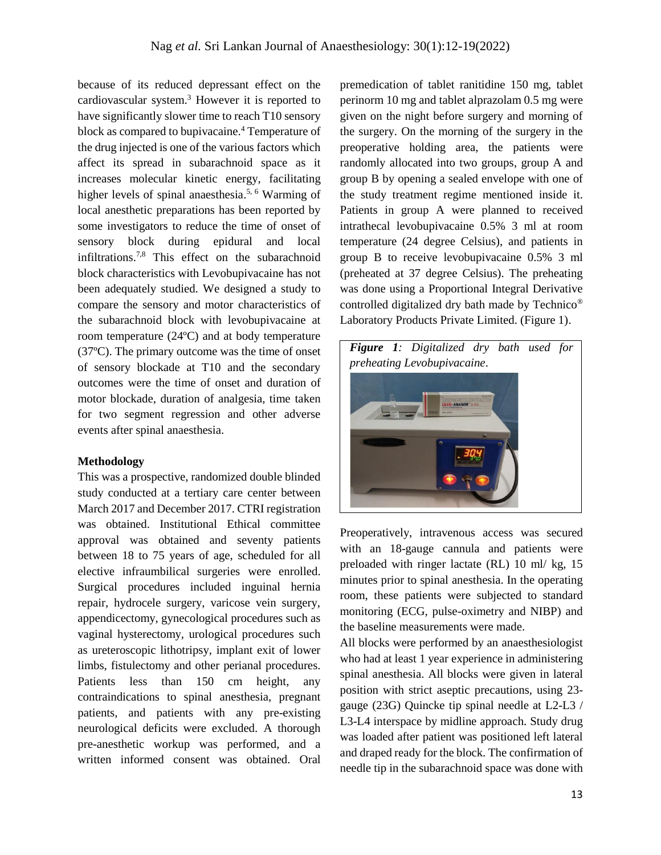because of its reduced depressant effect on the cardiovascular system. <sup>3</sup> However it is reported to have significantly slower time to reach T10 sensory block as compared to bupivacaine.<sup>4</sup> Temperature of the drug injected is one of the various factors which affect its spread in subarachnoid space as it increases molecular kinetic energy, facilitating higher levels of spinal anaesthesia.<sup>5, 6</sup> Warming of local anesthetic preparations has been reported by some investigators to reduce the time of onset of sensory block during epidural and local infiltrations. 7,8 This effect on the subarachnoid block characteristics with Levobupivacaine has not been adequately studied. We designed a study to compare the sensory and motor characteristics of the subarachnoid block with levobupivacaine at room temperature (24ºC) and at body temperature (37ºC). The primary outcome was the time of onset of sensory blockade at T10 and the secondary outcomes were the time of onset and duration of motor blockade, duration of analgesia, time taken for two segment regression and other adverse events after spinal anaesthesia.

## **Methodology**

This was a prospective, randomized double blinded study conducted at a tertiary care center between March 2017 and December 2017. CTRI registration was obtained. Institutional Ethical committee approval was obtained and seventy patients between 18 to 75 years of age, scheduled for all elective infraumbilical surgeries were enrolled. Surgical procedures included inguinal hernia repair, hydrocele surgery, varicose vein surgery, appendicectomy, gynecological procedures such as vaginal hysterectomy, urological procedures such as ureteroscopic lithotripsy, implant exit of lower limbs, fistulectomy and other perianal procedures. Patients less than 150 cm height, any contraindications to spinal anesthesia, pregnant patients, and patients with any pre-existing neurological deficits were excluded. A thorough pre-anesthetic workup was performed, and a written informed consent was obtained. Oral

premedication of tablet ranitidine 150 mg, tablet perinorm 10 mg and tablet alprazolam 0.5 mg were given on the night before surgery and morning of the surgery. On the morning of the surgery in the preoperative holding area, the patients were randomly allocated into two groups, group A and group B by opening a sealed envelope with one of the study treatment regime mentioned inside it. Patients in group A were planned to received intrathecal levobupivacaine 0.5% 3 ml at room temperature (24 degree Celsius), and patients in group B to receive levobupivacaine 0.5% 3 ml (preheated at 37 degree Celsius). The preheating was done using a Proportional Integral Derivative controlled digitalized dry bath made by Technico® Laboratory Products Private Limited. (Figure 1).



Preoperatively, intravenous access was secured with an 18-gauge cannula and patients were preloaded with ringer lactate (RL) 10 ml/ kg, 15 minutes prior to spinal anesthesia. In the operating room, these patients were subjected to standard monitoring (ECG, pulse-oximetry and NIBP) and the baseline measurements were made.

All blocks were performed by an anaesthesiologist who had at least 1 year experience in administering spinal anesthesia. All blocks were given in lateral position with strict aseptic precautions, using 23 gauge (23G) Quincke tip spinal needle at L2-L3 / L3-L4 interspace by midline approach. Study drug was loaded after patient was positioned left lateral and draped ready for the block. The confirmation of needle tip in the subarachnoid space was done with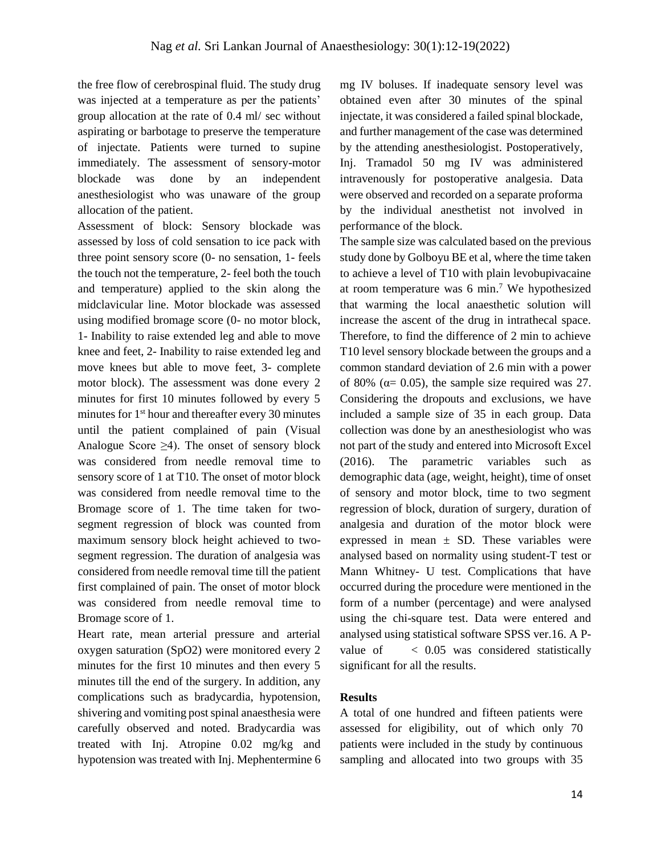the free flow of cerebrospinal fluid. The study drug was injected at a temperature as per the patients' group allocation at the rate of 0.4 ml/ sec without aspirating or barbotage to preserve the temperature of injectate. Patients were turned to supine immediately. The assessment of sensory-motor blockade was done by an independent anesthesiologist who was unaware of the group allocation of the patient.

Assessment of block: Sensory blockade was assessed by loss of cold sensation to ice pack with three point sensory score (0- no sensation, 1- feels the touch not the temperature, 2- feel both the touch and temperature) applied to the skin along the midclavicular line. Motor blockade was assessed using modified bromage score (0- no motor block, 1- Inability to raise extended leg and able to move knee and feet, 2- Inability to raise extended leg and move knees but able to move feet, 3- complete motor block). The assessment was done every 2 minutes for first 10 minutes followed by every 5 minutes for 1<sup>st</sup> hour and thereafter every 30 minutes until the patient complained of pain (Visual Analogue Score  $\geq 4$ ). The onset of sensory block was considered from needle removal time to sensory score of 1 at T10. The onset of motor block was considered from needle removal time to the Bromage score of 1. The time taken for twosegment regression of block was counted from maximum sensory block height achieved to twosegment regression. The duration of analgesia was considered from needle removal time till the patient first complained of pain. The onset of motor block was considered from needle removal time to Bromage score of 1.

Heart rate, mean arterial pressure and arterial oxygen saturation (SpO2) were monitored every 2 minutes for the first 10 minutes and then every 5 minutes till the end of the surgery. In addition, any complications such as bradycardia, hypotension, shivering and vomiting post spinal anaesthesia were carefully observed and noted. Bradycardia was treated with Inj. Atropine 0.02 mg/kg and hypotension was treated with Inj. Mephentermine 6 mg IV boluses. If inadequate sensory level was obtained even after 30 minutes of the spinal injectate, it was considered a failed spinal blockade, and further management of the case was determined by the attending anesthesiologist. Postoperatively, Inj. Tramadol 50 mg IV was administered intravenously for postoperative analgesia. Data were observed and recorded on a separate proforma by the individual anesthetist not involved in performance of the block.

The sample size was calculated based on the previous study done by Golboyu BE et al, where the time taken to achieve a level of T10 with plain levobupivacaine at room temperature was  $6 \text{ min.}^7$  We hypothesized that warming the local anaesthetic solution will increase the ascent of the drug in intrathecal space. Therefore, to find the difference of 2 min to achieve T10 level sensory blockade between the groups and a common standard deviation of 2.6 min with a power of 80% ( $\alpha$ = 0.05), the sample size required was 27. Considering the dropouts and exclusions, we have included a sample size of 35 in each group. Data collection was done by an anesthesiologist who was not part of the study and entered into Microsoft Excel (2016). The parametric variables such as demographic data (age, weight, height), time of onset of sensory and motor block, time to two segment regression of block, duration of surgery, duration of analgesia and duration of the motor block were expressed in mean  $\pm$  SD. These variables were analysed based on normality using student-T test or Mann Whitney- U test. Complications that have occurred during the procedure were mentioned in the form of a number (percentage) and were analysed using the chi-square test. Data were entered and analysed using statistical software SPSS ver.16. A Pvalue of < 0.05 was considered statistically significant for all the results.

## **Results**

A total of one hundred and fifteen patients were assessed for eligibility, out of which only 70 patients were included in the study by continuous sampling and allocated into two groups with 35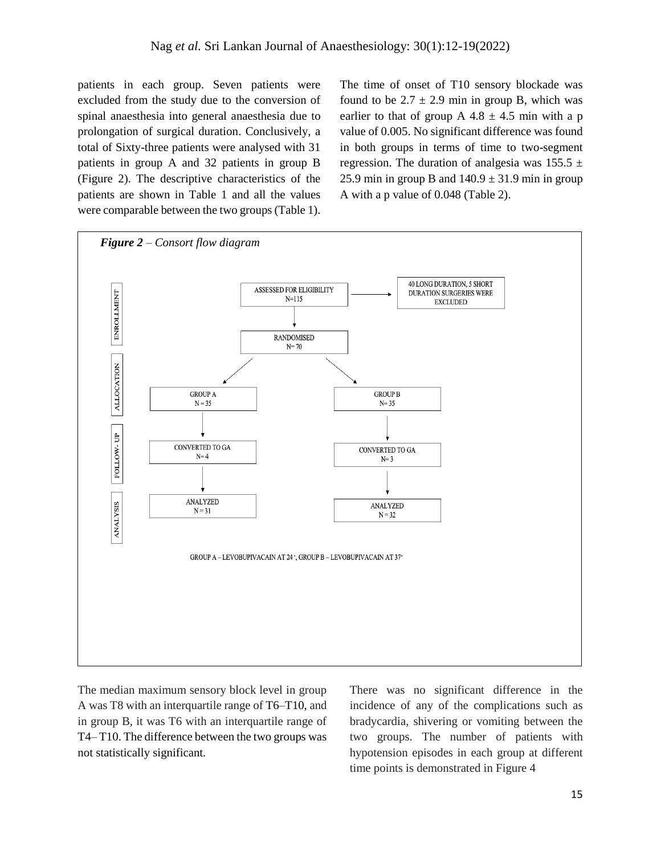patients in each group. Seven patients were excluded from the study due to the conversion of spinal anaesthesia into general anaesthesia due to prolongation of surgical duration. Conclusively, a total of Sixty-three patients were analysed with 31 patients in group A and 32 patients in group B (Figure 2). The descriptive characteristics of the patients are shown in Table 1 and all the values were comparable between the two groups (Table 1).

The time of onset of T10 sensory blockade was found to be  $2.7 \pm 2.9$  min in group B, which was earlier to that of group A  $4.8 \pm 4.5$  min with a p value of 0.005. No significant difference was found in both groups in terms of time to two-segment regression. The duration of analgesia was  $155.5 \pm$ 25.9 min in group B and  $140.9 \pm 31.9$  min in group A with a p value of 0.048 (Table 2).



The median maximum sensory block level in group A was T8 with an interquartile range of T6–T10, and in group B, it was T6 with an interquartile range of T4– T10. The difference between the two groups was not statistically significant.

There was no significant difference in the incidence of any of the complications such as bradycardia, shivering or vomiting between the two groups. The number of patients with hypotension episodes in each group at different time points is demonstrated in Figure 4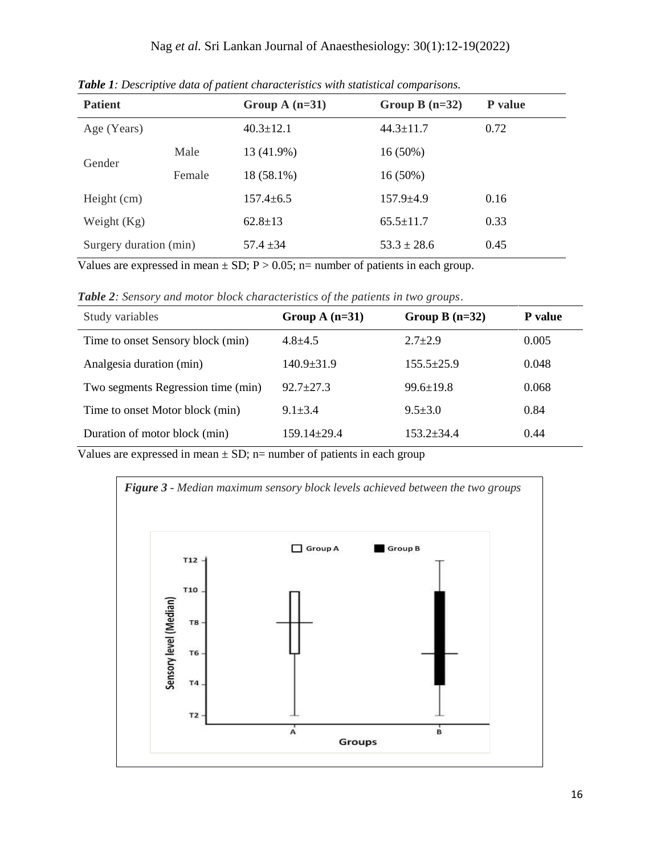| <b>Patient</b>         |        | Group A $(n=31)$ | Group B $(n=32)$ | P value |
|------------------------|--------|------------------|------------------|---------|
| Age (Years)            |        | $40.3 \pm 12.1$  | $44.3 \pm 11.7$  | 0.72    |
| Gender                 | Male   | 13 (41.9%)       | $16(50\%)$       |         |
|                        | Female | 18 (58.1%)       | $16(50\%)$       |         |
| Height (cm)            |        | $157.4 \pm 6.5$  | $157.9 \pm 4.9$  | 0.16    |
| Weight $(Kg)$          |        | $62.8 \pm 13$    | $65.5 \pm 11.7$  | 0.33    |
| Surgery duration (min) |        | $57.4 \pm 34$    | $53.3 \pm 28.6$  | 0.45    |

*Table 1: Descriptive data of patient characteristics with statistical comparisons.*

Values are expressed in mean  $\pm$  SD; P > 0.05; n= number of patients in each group.

*Table 2: Sensory and motor block characteristics of the patients in two groups*.

| Study variables                    | Group A $(n=31)$  | Group B $(n=32)$ | P value |
|------------------------------------|-------------------|------------------|---------|
| Time to onset Sensory block (min)  | $4.8 + 4.5$       | $2.7+2.9$        | 0.005   |
| Analgesia duration (min)           | $140.9 \pm 31.9$  | $155.5 \pm 25.9$ | 0.048   |
| Two segments Regression time (min) | $92.7 + 27.3$     | $99.6 \pm 19.8$  | 0.068   |
| Time to onset Motor block (min)    | $9.1 \pm 3.4$     | $9.5 \pm 3.0$    | 0.84    |
| Duration of motor block (min)      | $159.14 \pm 29.4$ | $153.2 + 34.4$   | 0.44    |

Values are expressed in mean  $\pm$  SD; n= number of patients in each group

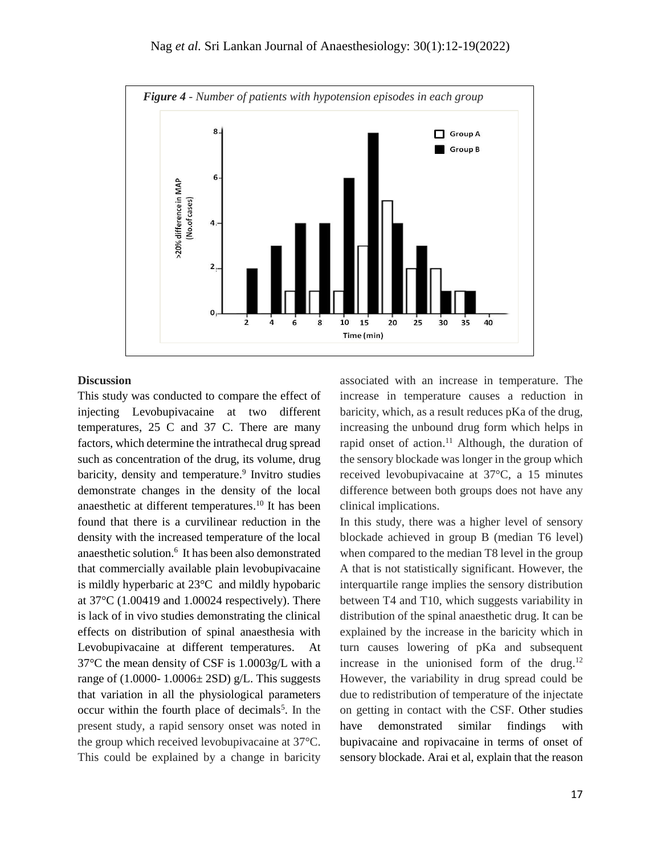

## **Discussion**

This study was conducted to compare the effect of injecting Levobupivacaine at two different temperatures, 25 C and 37 C. There are many factors, which determine the intrathecal drug spread such as concentration of the drug, its volume, drug baricity, density and temperature.<sup>9</sup> Invitro studies demonstrate changes in the density of the local anaesthetic at different temperatures. <sup>10</sup> It has been found that there is a curvilinear reduction in the density with the increased temperature of the local anaesthetic solution.<sup>6</sup> It has been also demonstrated that commercially available plain levobupivacaine is mildly hyperbaric at 23°C and mildly hypobaric at 37°C (1.00419 and 1.00024 respectively). There is lack of in vivo studies demonstrating the clinical effects on distribution of spinal anaesthesia with Levobupivacaine at different temperatures. At 37°C the mean density of CSF is 1.0003g/L with a range of  $(1.0000 - 1.0006 \pm 2SD)$  g/L. This suggests that variation in all the physiological parameters occur within the fourth place of decimals<sup>5</sup>. In the present study, a rapid sensory onset was noted in the group which received levobupivacaine at 37°C. This could be explained by a change in baricity

associated with an increase in temperature. The increase in temperature causes a reduction in baricity, which, as a result reduces pKa of the drug, increasing the unbound drug form which helps in rapid onset of action.<sup>11</sup> Although, the duration of the sensory blockade was longer in the group which received levobupivacaine at 37°C, a 15 minutes difference between both groups does not have any clinical implications.

In this study, there was a higher level of sensory blockade achieved in group B (median T6 level) when compared to the median T8 level in the group A that is not statistically significant. However, the interquartile range implies the sensory distribution between T4 and T10, which suggests variability in distribution of the spinal anaesthetic drug. It can be explained by the increase in the baricity which in turn causes lowering of pKa and subsequent increase in the unionised form of the drug.<sup>12</sup> However, the variability in drug spread could be due to redistribution of temperature of the injectate on getting in contact with the CSF. Other studies have demonstrated similar findings with bupivacaine and ropivacaine in terms of onset of sensory blockade. Arai et al, explain that the reason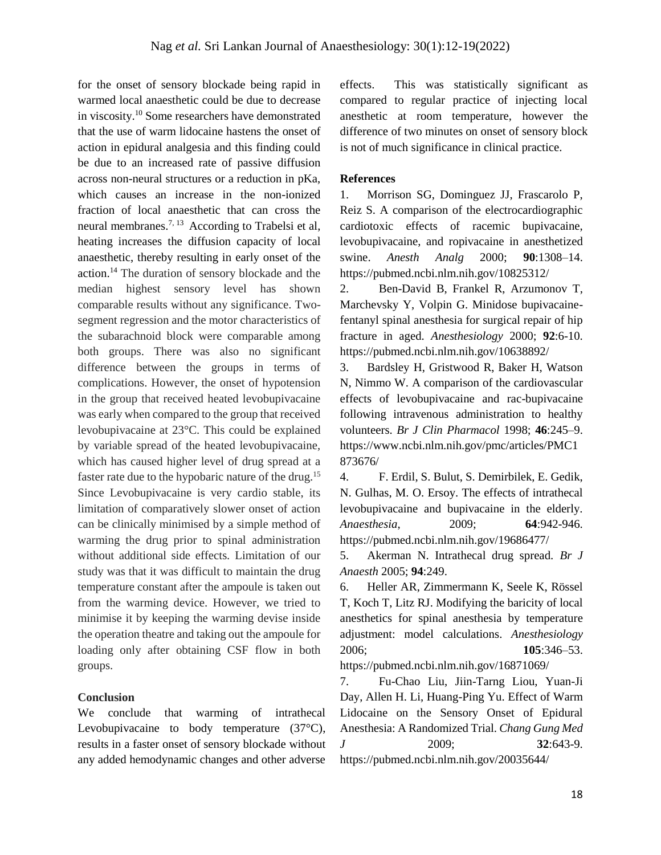for the onset of sensory blockade being rapid in warmed local anaesthetic could be due to decrease in viscosity. <sup>10</sup> Some researchers have demonstrated that the use of warm lidocaine hastens the onset of action in epidural analgesia and this finding could be due to an increased rate of passive diffusion across non-neural structures or a reduction in pKa, which causes an increase in the non-ionized fraction of local anaesthetic that can cross the neural membranes.<sup>7, 13</sup> According to Trabelsi et al, heating increases the diffusion capacity of local anaesthetic, thereby resulting in early onset of the action. <sup>14</sup> The duration of sensory blockade and the median highest sensory level has shown comparable results without any significance. Twosegment regression and the motor characteristics of the subarachnoid block were comparable among both groups. There was also no significant difference between the groups in terms of complications. However, the onset of hypotension in the group that received heated levobupivacaine was early when compared to the group that received levobupivacaine at 23°C. This could be explained by variable spread of the heated levobupivacaine, which has caused higher level of drug spread at a faster rate due to the hypobaric nature of the drug.<sup>15</sup> Since Levobupivacaine is very cardio stable, its limitation of comparatively slower onset of action can be clinically minimised by a simple method of warming the drug prior to spinal administration without additional side effects. Limitation of our study was that it was difficult to maintain the drug temperature constant after the ampoule is taken out from the warming device. However, we tried to minimise it by keeping the warming devise inside the operation theatre and taking out the ampoule for loading only after obtaining CSF flow in both groups.

## **Conclusion**

We conclude that warming of intrathecal Levobupivacaine to body temperature (37<sup>o</sup>C), results in a faster onset of sensory blockade without any added hemodynamic changes and other adverse effects. This was statistically significant as compared to regular practice of injecting local anesthetic at room temperature, however the difference of two minutes on onset of sensory block is not of much significance in clinical practice.

#### **References**

1. Morrison SG, Dominguez JJ, Frascarolo P, Reiz S. A comparison of the electrocardiographic cardiotoxic effects of racemic bupivacaine, levobupivacaine, and ropivacaine in anesthetized swine. *Anesth Analg* 2000; **90**:1308–14. https://pubmed.ncbi.nlm.nih.gov/10825312/

2. Ben-David B, Frankel R, Arzumonov T, Marchevsky Y, Volpin G. Minidose bupivacainefentanyl spinal anesthesia for surgical repair of hip fracture in aged. *Anesthesiology* 2000; **92**:6-10. https://pubmed.ncbi.nlm.nih.gov/10638892/

3. Bardsley H, Gristwood R, Baker H, Watson N, Nimmo W. A comparison of the cardiovascular effects of levobupivacaine and rac-bupivacaine following intravenous administration to healthy volunteers. *Br J Clin Pharmacol* 1998; **46**:245–9. https://www.ncbi.nlm.nih.gov/pmc/articles/PMC1 873676/

4. F. Erdil, S. Bulut, S. Demirbilek, E. Gedik, N. Gulhas, M. O. Ersoy. The effects of intrathecal levobupivacaine and bupivacaine in the elderly. *Anaesthesia*, 2009; **64**:942-946. https://pubmed.ncbi.nlm.nih.gov/19686477/

5. Akerman N. Intrathecal drug spread. *Br J Anaesth* 2005; **94**:249.

6. Heller AR, Zimmermann K, Seele K, Rössel T, Koch T, Litz RJ. Modifying the baricity of local anesthetics for spinal anesthesia by temperature adjustment: model calculations. *Anesthesiology* 2006; **105**:346–53. https://pubmed.ncbi.nlm.nih.gov/16871069/

7. Fu-Chao Liu, Jiin-Tarng Liou, Yuan-Ji Day, Allen H. Li, Huang-Ping Yu. Effect of Warm Lidocaine on the Sensory Onset of Epidural Anesthesia: A Randomized Trial. *Chang Gung Med J* 2009; **32**:643-9. https://pubmed.ncbi.nlm.nih.gov/20035644/